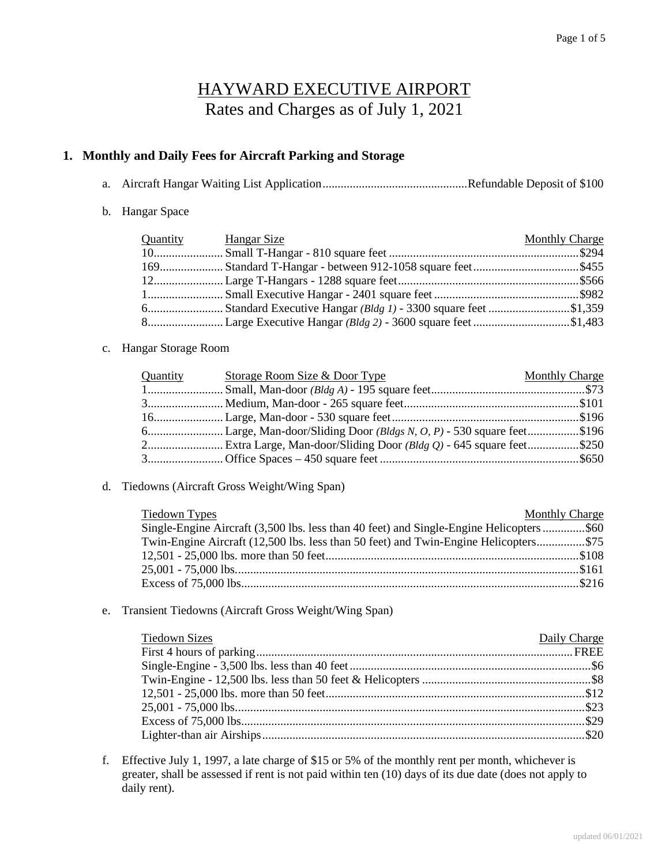# HAYWARD EXECUTIVE AIRPORT Rates and Charges as of July 1, 2021

#### **1. Monthly and Daily Fees for Aircraft Parking and Storage**

- a. Aircraft Hangar Waiting List Application ................................................ Refundable Deposit of \$100
- b. Hangar Space

| <b>Quantity Hangar Size</b> | <b>Monthly Charge</b> |
|-----------------------------|-----------------------|
|                             |                       |
|                             |                       |
|                             |                       |
|                             |                       |
|                             |                       |
|                             |                       |

#### c. Hangar Storage Room

| Quantity | Storage Room Size & Door Type | <b>Monthly Charge</b> |
|----------|-------------------------------|-----------------------|
|          |                               |                       |
|          |                               |                       |
|          |                               |                       |
|          |                               |                       |
|          |                               |                       |
|          |                               |                       |

#### d. Tiedowns (Aircraft Gross Weight/Wing Span)

| Tiedown Types                                                                            | <b>Monthly Charge</b> |
|------------------------------------------------------------------------------------------|-----------------------|
| Single-Engine Aircraft (3,500 lbs. less than 40 feet) and Single-Engine Helicopters \$60 |                       |
| Twin-Engine Aircraft (12,500 lbs. less than 50 feet) and Twin-Engine Helicopters\$75     |                       |
|                                                                                          |                       |
|                                                                                          |                       |
|                                                                                          |                       |

#### e. Transient Tiedowns (Aircraft Gross Weight/Wing Span)

| <b>Tiedown Sizes</b> | Daily Charge |
|----------------------|--------------|
|                      |              |
|                      |              |
|                      |              |
|                      |              |
|                      |              |
|                      |              |
|                      |              |

f. Effective July 1, 1997, a late charge of \$15 or 5% of the monthly rent per month, whichever is greater, shall be assessed if rent is not paid within ten (10) days of its due date (does not apply to daily rent).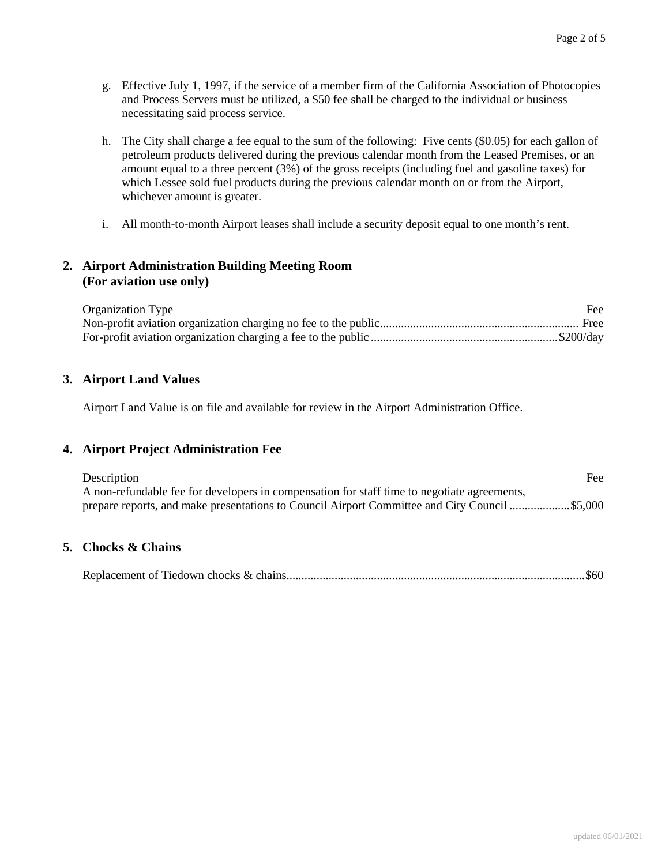- g. Effective July 1, 1997, if the service of a member firm of the California Association of Photocopies and Process Servers must be utilized, a \$50 fee shall be charged to the individual or business necessitating said process service.
- h. The City shall charge a fee equal to the sum of the following: Five cents (\$0.05) for each gallon of petroleum products delivered during the previous calendar month from the Leased Premises, or an amount equal to a three percent (3%) of the gross receipts (including fuel and gasoline taxes) for which Lessee sold fuel products during the previous calendar month on or from the Airport, whichever amount is greater.
- i. All month-to-month Airport leases shall include a security deposit equal to one month's rent.

### **2. Airport Administration Building Meeting Room (For aviation use only)**

| <b>Organization Type</b> | Fee |
|--------------------------|-----|
|                          |     |
|                          |     |

### **3. Airport Land Values**

Airport Land Value is on file and available for review in the Airport Administration Office.

#### **4. Airport Project Administration Fee**

| Description                                                                                 | Fee |
|---------------------------------------------------------------------------------------------|-----|
| A non-refundable fee for developers in compensation for staff time to negotiate agreements, |     |
|                                                                                             |     |

#### **5. Chocks & Chains**

Replacement of Tiedown chocks & chains................................................................................................... \$60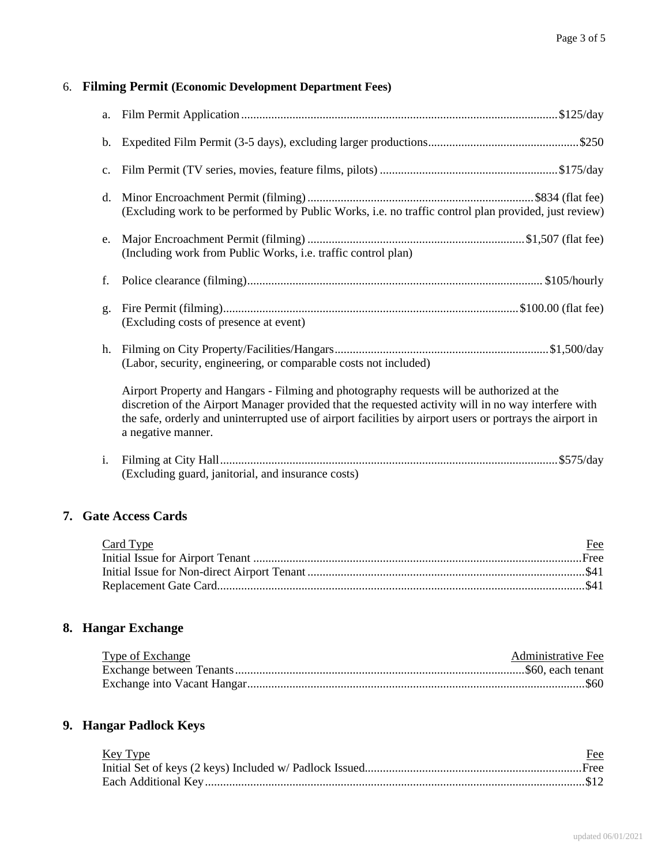# 6. **Filming Permit (Economic Development Department Fees)**

|                | (Excluding work to be performed by Public Works, i.e. no traffic control plan provided, just review)                                                                                                                                                                                                                                 |
|----------------|--------------------------------------------------------------------------------------------------------------------------------------------------------------------------------------------------------------------------------------------------------------------------------------------------------------------------------------|
| e.             | (Including work from Public Works, i.e. traffic control plan)                                                                                                                                                                                                                                                                        |
| f.             |                                                                                                                                                                                                                                                                                                                                      |
| $\mathbf{g}$ . | (Excluding costs of presence at event)                                                                                                                                                                                                                                                                                               |
| h.             | (Labor, security, engineering, or comparable costs not included)                                                                                                                                                                                                                                                                     |
|                | Airport Property and Hangars - Filming and photography requests will be authorized at the<br>discretion of the Airport Manager provided that the requested activity will in no way interfere with<br>the safe, orderly and uninterrupted use of airport facilities by airport users or portrays the airport in<br>a negative manner. |
| $i$ .          | (Excluding guard, janitorial, and insurance costs)                                                                                                                                                                                                                                                                                   |

#### **7. Gate Access Cards**

| Card Type | Fee |
|-----------|-----|
|           |     |
|           |     |
|           |     |
|           |     |

# **8. Hangar Exchange**

| <b>Type of Exchange</b> | Administrative Fee |
|-------------------------|--------------------|
|                         |                    |
|                         |                    |

# **9. Hangar Padlock Keys**

| Key Type | Fee |
|----------|-----|
|          |     |
|          |     |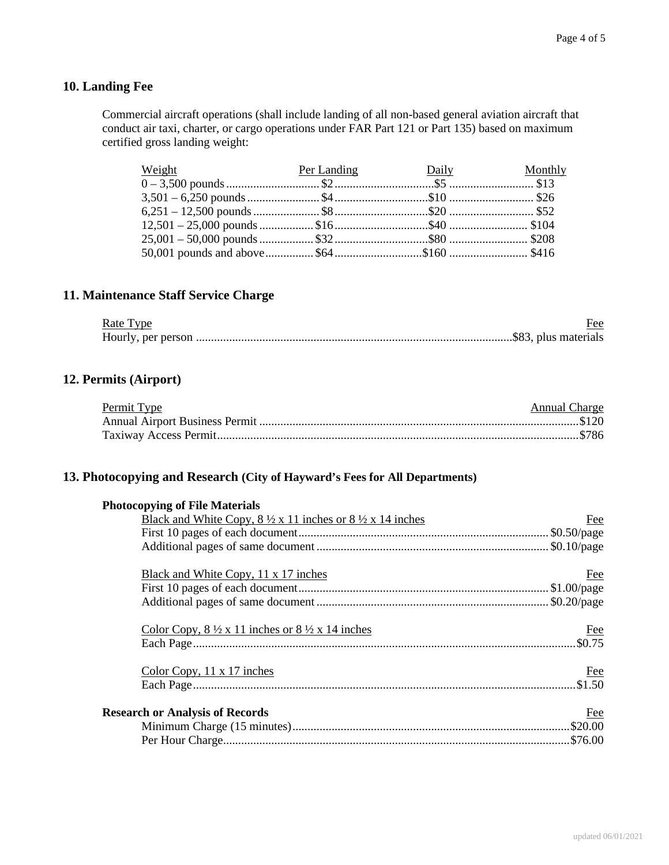# **10. Landing Fee**

Commercial aircraft operations (shall include landing of all non-based general aviation aircraft that conduct air taxi, charter, or cargo operations under FAR Part 121 or Part 135) based on maximum certified gross landing weight:

| Weight <b>Example 18 Year 19 Year 19 Year 20 Year 20 Year 20 Year 20 Year 20 Year 20 Year 20 Year 20 Year 20 Year 20 Year 20 Year 20 Year 20 Year 20 Year 20 Year 20 Year 20 Year 20 Year 20 Year 20 Year 20 Year 20 Year 20 Yea</b> |  |  |
|--------------------------------------------------------------------------------------------------------------------------------------------------------------------------------------------------------------------------------------|--|--|
|                                                                                                                                                                                                                                      |  |  |
|                                                                                                                                                                                                                                      |  |  |
|                                                                                                                                                                                                                                      |  |  |
|                                                                                                                                                                                                                                      |  |  |
|                                                                                                                                                                                                                                      |  |  |
|                                                                                                                                                                                                                                      |  |  |

### **11. Maintenance Staff Service Charge**

| Rate Type | Fee |
|-----------|-----|
|           |     |

### **12. Permits (Airport)**

| Permit Type | <b>Annual Charge</b> |
|-------------|----------------------|
|             |                      |
|             |                      |

### **13. Photocopying and Research (City of Hayward's Fees for All Departments)**

| <b>Photocopying of File Materials</b>                                                    |            |
|------------------------------------------------------------------------------------------|------------|
| Black and White Copy, $8\frac{1}{2} \times 11$ inches or $8\frac{1}{2} \times 14$ inches | Fee        |
|                                                                                          |            |
|                                                                                          |            |
| Black and White Copy, 11 x 17 inches                                                     | Fee        |
|                                                                                          |            |
|                                                                                          |            |
| Color Copy, $8\frac{1}{2} \times 11$ inches or $8\frac{1}{2} \times 14$ inches           | <b>Fee</b> |
|                                                                                          | $. \$0.75$ |
| Color Copy, $11 \times 17$ inches                                                        | Fee        |
|                                                                                          |            |
| <b>Research or Analysis of Records</b>                                                   | Fee        |
|                                                                                          |            |
|                                                                                          |            |